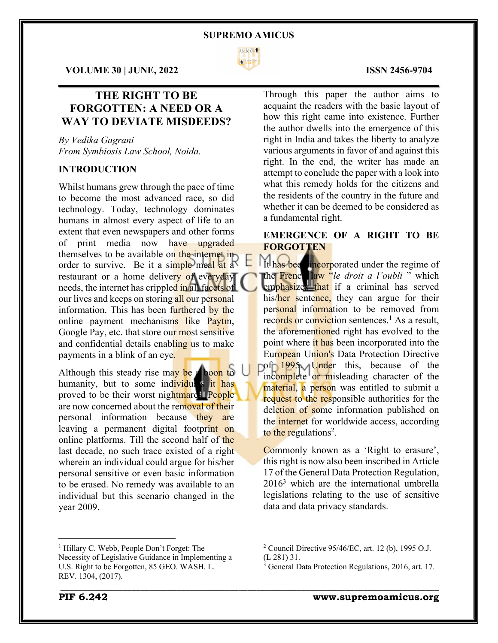

 $\mathcal{L}_\mathcal{L} = \mathcal{L}_\mathcal{L} = \mathcal{L}_\mathcal{L} = \mathcal{L}_\mathcal{L} = \mathcal{L}_\mathcal{L} = \mathcal{L}_\mathcal{L} = \mathcal{L}_\mathcal{L} = \mathcal{L}_\mathcal{L} = \mathcal{L}_\mathcal{L} = \mathcal{L}_\mathcal{L} = \mathcal{L}_\mathcal{L} = \mathcal{L}_\mathcal{L} = \mathcal{L}_\mathcal{L} = \mathcal{L}_\mathcal{L} = \mathcal{L}_\mathcal{L} = \mathcal{L}_\mathcal{L} = \mathcal{L}_\mathcal{L}$ 

\_\_\_\_\_\_\_\_\_\_\_\_\_\_\_\_\_\_\_\_\_\_\_\_\_\_\_\_\_\_\_\_\_\_\_\_\_\_\_\_\_\_\_\_\_\_\_\_\_\_\_\_\_\_\_\_\_\_\_\_\_\_\_\_\_\_\_\_\_\_\_\_\_\_\_\_\_\_\_\_\_\_\_\_\_

**VOLUME 30 | JUNE, 2022 ISSN 2456-9704**

# **THE RIGHT TO BE FORGOTTEN: A NEED OR A WAY TO DEVIATE MISDEEDS?**

*By Vedika Gagrani From Symbiosis Law School, Noida.*

# **INTRODUCTION**

Whilst humans grew through the pace of time to become the most advanced race, so did technology. Today, technology dominates humans in almost every aspect of life to an extent that even newspapers and other forms of print media now have upgraded themselves to be available on the internet inorder to survive. Be it a simple meal at a restaurant or a home delivery of everyday needs, the internet has crippled in all facets of our lives and keeps on storing all our personal information. This has been furthered by the online payment mechanisms like Paytm, Google Pay, etc. that store our most sensitive and confidential details enabling us to make payments in a blink of an eye.

Although this steady rise may be a boon to humanity, but to some individuals it has proved to be their worst nightmares. People are now concerned about the removal of their personal information because they are leaving a permanent digital footprint on online platforms. Till the second half of the last decade, no such trace existed of a right wherein an individual could argue for his/her personal sensitive or even basic information to be erased. No remedy was available to an individual but this scenario changed in the year 2009.

Through this paper the author aims to acquaint the readers with the basic layout of how this right came into existence. Further the author dwells into the emergence of this right in India and takes the liberty to analyze various arguments in favor of and against this right. In the end, the writer has made an attempt to conclude the paper with a look into what this remedy holds for the citizens and the residents of the country in the future and whether it can be deemed to be considered as a fundamental right.

# **EMERGENCE OF A RIGHT TO BE FORGOTTEN**

It has been incorporated under the regime of the French law "*le droit a l'oubli* " which emphasizes that if a criminal has served his/her sentence, they can argue for their personal information to be removed from records or conviction sentences.<sup>1</sup> As a result, the aforementioned right has evolved to the point where it has been incorporated into the European Union's Data Protection Directive pof<sub>D</sub> 1995. Under this, because of the incomplete or misleading character of the material, a person was entitled to submit a request to the responsible authorities for the deletion of some information published on the internet for worldwide access, according to the regulations<sup>2</sup>.

Commonly known as a 'Right to erasure', this right is now also been inscribed in Article 17 of the General Data Protection Regulation,  $2016<sup>3</sup>$  which are the international umbrella legislations relating to the use of sensitive data and data privacy standards.

<sup>1</sup> Hillary C. Webb, People Don't Forget: The Necessity of Legislative Guidance in Implementing a U.S. Right to be Forgotten, 85 GEO. WASH. L. REV. 1304, (2017).

<sup>2</sup> Council Directive 95/46/EC, art. 12 (b), 1995 O.J. (L 281) 31.

 $3$  General Data Protection Regulations, 2016, art. 17.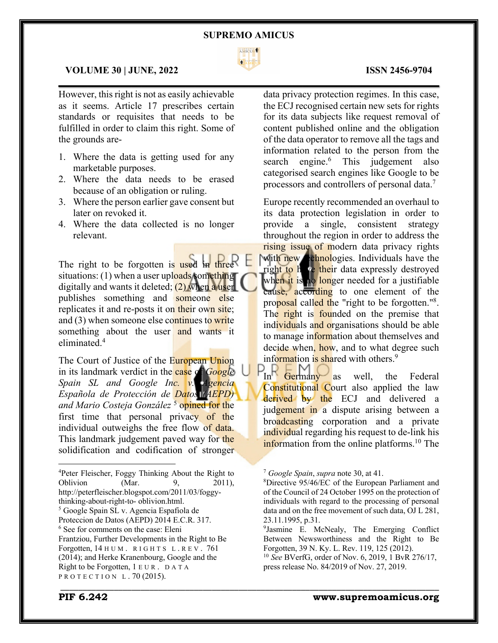

 $\mathcal{L}_\mathcal{L} = \mathcal{L}_\mathcal{L} = \mathcal{L}_\mathcal{L} = \mathcal{L}_\mathcal{L} = \mathcal{L}_\mathcal{L} = \mathcal{L}_\mathcal{L} = \mathcal{L}_\mathcal{L} = \mathcal{L}_\mathcal{L} = \mathcal{L}_\mathcal{L} = \mathcal{L}_\mathcal{L} = \mathcal{L}_\mathcal{L} = \mathcal{L}_\mathcal{L} = \mathcal{L}_\mathcal{L} = \mathcal{L}_\mathcal{L} = \mathcal{L}_\mathcal{L} = \mathcal{L}_\mathcal{L} = \mathcal{L}_\mathcal{L}$ 

# **VOLUME 30 | JUNE, 2022 ISSN 2456-9704**

However, this right is not as easily achievable as it seems. Article 17 prescribes certain standards or requisites that needs to be fulfilled in order to claim this right. Some of the grounds are-

- 1. Where the data is getting used for any marketable purposes.
- 2. Where the data needs to be erased because of an obligation or ruling.
- 3. Where the person earlier gave consent but later on revoked it.
- 4. Where the data collected is no longer relevant.

The right to be forgotten is used in three  $\mathsf F$ situations: (1) when a user uploads something digitally and wants it deleted;  $(2)$  when a user publishes something and someone else replicates it and re-posts it on their own site; and (3) when someone else continues to write something about the user and wants it eliminated.4

The Court of Justice of the European Union in its landmark verdict in the case of *Google Spain SL and Google Inc. v. Agencia Española de Protección de Datos (AEPD) and Mario Costeja González* <sup>5</sup> opined for the first time that personal privacy of the individual outweighs the free flow of data. This landmark judgement paved way for the solidification and codification of stronger

4 Peter Fleischer, Foggy Thinking About the Right to Oblivion (Mar. 9, 2011), http://peterfleischer.blogspot.com/2011/03/foggythinking-about-right-to- oblivion.html. <sup>5</sup> Google Spain SL v. Agencia Espafiola de Proteccion de Datos (AEPD) 2014 E.C.R. 317. <sup>6</sup> See for comments on the case: Eleni Frantziou, Further Developments in the Right to Be Forgotten, 14 HUM. RIGHTS L.REV. 761 (2014); and Herke Kranenbourg, Google and the Right to be Forgotten, 1 EUR . DATA PROTECTION L.70 (2015).

data privacy protection regimes. In this case, the ECJ recognised certain new sets for rights for its data subjects like request removal of content published online and the obligation of the data operator to remove all the tags and information related to the person from the search engine.<sup>6</sup> This judgement also categorised search engines like Google to be processors and controllers of personal data.7

Europe recently recommended an overhaul to its data protection legislation in order to provide a single, consistent strategy throughout the region in order to address the rising issue of modern data privacy rights with new chnologies. Individuals have the right to h ve their data expressly destroyed when it is no longer needed for a justifiable cause, according to one element of the proposal called the "right to be forgotten."<sup>8</sup>. The right is founded on the premise that individuals and organisations should be able to manage information about themselves and decide when, how, and to what degree such information is shared with others.<sup>9</sup>

 $P_{\text{In}}$   $\overline{P_{\text{German}}P_{\text{as}}}$  as well, the Federal Constitutional Court also applied the law derived by the ECJ and delivered a judgement in a dispute arising between a broadcasting corporation and a private individual regarding his request to de-link his information from the online platforms.<sup>10</sup> The

<sup>7</sup> *Google Spain*, *supra* note 30, at 41.

<sup>8</sup> Directive 95/46/EC of the European Parliament and of the Council of 24 October 1995 on the protection of individuals with regard to the processing of personal data and on the free movement of such data, OJ L 281, 23.11.1995, p.31.

<sup>9</sup> Jasmine E. McNealy, The Emerging Conflict Between Newsworthiness and the Right to Be Forgotten, 39 N. Ky. L. Rev. 119, 125 (2012).

<sup>10</sup> *See* BVerfG, order of Nov. 6, 2019, 1 BvR 276/17, press release No. 84/2019 of Nov. 27, 2019.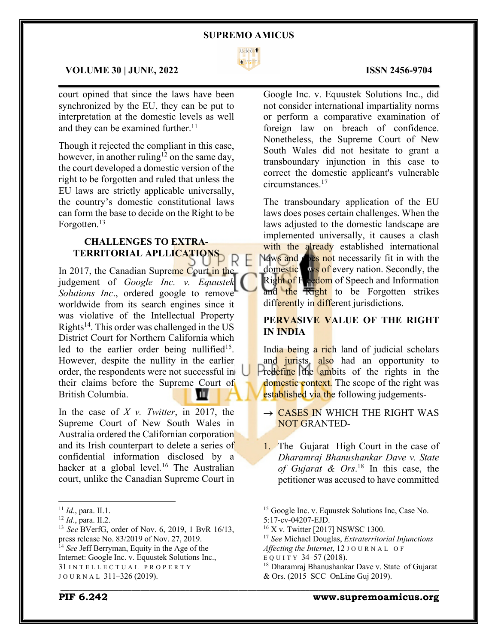

 $\mathcal{L}_\mathcal{L} = \mathcal{L}_\mathcal{L} = \mathcal{L}_\mathcal{L} = \mathcal{L}_\mathcal{L} = \mathcal{L}_\mathcal{L} = \mathcal{L}_\mathcal{L} = \mathcal{L}_\mathcal{L} = \mathcal{L}_\mathcal{L} = \mathcal{L}_\mathcal{L} = \mathcal{L}_\mathcal{L} = \mathcal{L}_\mathcal{L} = \mathcal{L}_\mathcal{L} = \mathcal{L}_\mathcal{L} = \mathcal{L}_\mathcal{L} = \mathcal{L}_\mathcal{L} = \mathcal{L}_\mathcal{L} = \mathcal{L}_\mathcal{L}$ 

## **VOLUME 30 | JUNE, 2022 ISSN 2456-9704**

court opined that since the laws have been synchronized by the EU, they can be put to interpretation at the domestic levels as well and they can be examined further.<sup>11</sup>

Though it rejected the compliant in this case, however, in another ruling<sup>12</sup> on the same day, the court developed a domestic version of the right to be forgotten and ruled that unless the EU laws are strictly applicable universally, the country's domestic constitutional laws can form the base to decide on the Right to be Forgotten.<sup>13</sup>

# **CHALLENGES TO EXTRA-TERRITORIAL APLLICATIONS**

In 2017, the Canadian Supreme Court in the judgement of *Google Inc. v. Equustek Solutions Inc*., ordered google to remove worldwide from its search engines since it was violative of the Intellectual Property Rights<sup>14</sup>. This order was challenged in the US District Court for Northern California which led to the earlier order being nullified<sup>15</sup>. However, despite the nullity in the earlier order, the respondents were not successful in their claims before the Supreme Court of British Columbia. ПТ

In the case of *X v. Twitter*, in 2017, the Supreme Court of New South Wales in Australia ordered the Californian corporation and its Irish counterpart to delete a series of confidential information disclosed by a hacker at a global level.<sup>16</sup> The Australian court, unlike the Canadian Supreme Court in

<sup>12</sup> *Id*., para. II.2.

Google Inc. v. Equustek Solutions Inc., did not consider international impartiality norms or perform a comparative examination of foreign law on breach of confidence. Nonetheless, the Supreme Court of New South Wales did not hesitate to grant a transboundary injunction in this case to correct the domestic applicant's vulnerable circumstances.17

The transboundary application of the EU laws does poses certain challenges. When the laws adjusted to the domestic landscape are implemented universally, it causes a clash with the already established international Naws and **does not** necessarily fit in with the domestic ws of every nation. Secondly, the Right of F reedom of Speech and Information and the Right to be Forgotten strikes differently in different jurisdictions.

# **PERVASIVE VALUE OF THE RIGHT IN INDIA**

India being a rich land of judicial scholars and jurists, also had an opportunity to Predefine the ambits of the rights in the domestic context. The scope of the right was established via the following judgements-

- $\rightarrow$  CASES IN WHICH THE RIGHT WAS NOT GRANTED-
- 1. The Gujarat High Court in the case of *Dharamraj Bhanushankar Dave v. State of Gujarat & Ors*. <sup>18</sup> In this case, the petitioner was accused to have committed

\_\_\_\_\_\_\_\_\_\_\_\_\_\_\_\_\_\_\_\_\_\_\_\_\_\_\_\_\_\_\_\_\_\_\_\_\_\_\_\_\_\_\_\_\_\_\_\_\_\_\_\_\_\_\_\_\_\_\_\_\_\_\_\_\_\_\_\_\_\_\_\_\_\_\_\_\_\_\_\_\_\_\_\_\_

# **PIF 6.242 www.supremoamicus.org**

<sup>11</sup> *Id*., para. II.1.

<sup>13</sup> *See* BVerfG, order of Nov. 6, 2019, 1 BvR 16/13, press release No. 83/2019 of Nov. 27, 2019. <sup>14</sup> *See* Jeff Berryman, Equity in the Age of the

Internet: Google Inc. v. Equustek Solutions Inc.,

<sup>31</sup> INTELLECTUAL PROPERTY JOURNAL 311-326 (2019).

<sup>15</sup> Google Inc. v. Equustek Solutions Inc, Case No.

<sup>5:17-</sup>cv-04207-EJD.

<sup>&</sup>lt;sup>16</sup> X v. Twitter [2017] NSWSC 1300.

<sup>17</sup> *See* Michael Douglas, *Extraterritorial Injunctions Affecting the Internet*, 12 JOURNAL O F

EQUITY 34–57 (2018).

<sup>18</sup> Dharamraj Bhanushankar Dave v. State of Gujarat & Ors. (2015 SCC OnLine Guj 2019).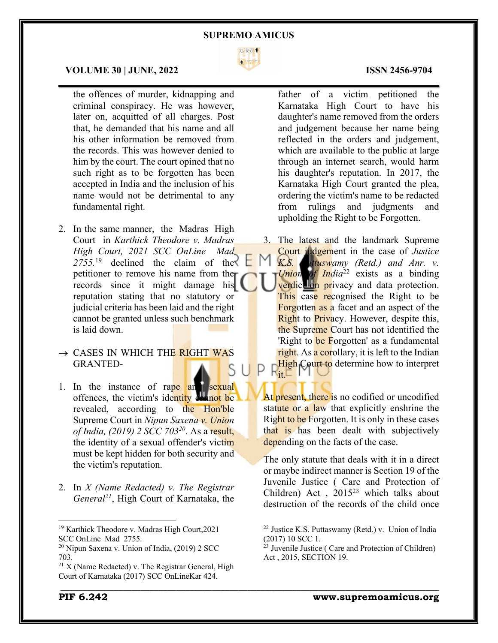

 $\mathcal{L}_\mathcal{L} = \mathcal{L}_\mathcal{L} = \mathcal{L}_\mathcal{L} = \mathcal{L}_\mathcal{L} = \mathcal{L}_\mathcal{L} = \mathcal{L}_\mathcal{L} = \mathcal{L}_\mathcal{L} = \mathcal{L}_\mathcal{L} = \mathcal{L}_\mathcal{L} = \mathcal{L}_\mathcal{L} = \mathcal{L}_\mathcal{L} = \mathcal{L}_\mathcal{L} = \mathcal{L}_\mathcal{L} = \mathcal{L}_\mathcal{L} = \mathcal{L}_\mathcal{L} = \mathcal{L}_\mathcal{L} = \mathcal{L}_\mathcal{L}$ 

\_\_\_\_\_\_\_\_\_\_\_\_\_\_\_\_\_\_\_\_\_\_\_\_\_\_\_\_\_\_\_\_\_\_\_\_\_\_\_\_\_\_\_\_\_\_\_\_\_\_\_\_\_\_\_\_\_\_\_\_\_\_\_\_\_\_\_\_\_\_\_\_\_\_\_\_\_\_\_\_\_\_\_\_\_

### **VOLUME 30 | JUNE, 2022 ISSN 2456-9704**

the offences of murder, kidnapping and criminal conspiracy. He was however, later on, acquitted of all charges. Post that, he demanded that his name and all his other information be removed from the records. This was however denied to him by the court. The court opined that no such right as to be forgotten has been accepted in India and the inclusion of his name would not be detrimental to any fundamental right.

- 2. In the same manner, the Madras High Court in *Karthick Theodore v. Madras High Court, 2021 SCC OnLine Mad 2755.*<sup>19</sup> declined the claim of the petitioner to remove his name from the records since it might damage his reputation stating that no statutory or judicial criteria has been laid and the right cannot be granted unless such benchmark is laid down.
- $\rightarrow$  CASES IN WHICH THE RIGHT WAS GRANTED-
- 1. In the instance of rape and sexual offences, the victim's identity channot be revealed, according to the Hon'ble Supreme Court in *Nipun Saxena v. Union of India, (2019) 2 SCC 70320*. As a result, the identity of a sexual offender's victim must be kept hidden for both security and the victim's reputation.
- 2. In *X (Name Redacted) v. The Registrar General21*, High Court of Karnataka, the

father of a victim petitioned the Karnataka High Court to have his daughter's name removed from the orders and judgement because her name being reflected in the orders and judgement, which are available to the public at large through an internet search, would harm his daughter's reputation. In 2017, the Karnataka High Court granted the plea, ordering the victim's name to be redacted from rulings and judgments and upholding the Right to be Forgotten.

3. The latest and the landmark Supreme Court judgement in the case of *Justice K.S. Puttuswamy (Retd.) and Anr. v. Union of India*<sup>22</sup> exists as a binding verdic<sup>t lon</sup> privacy and data protection. This case recognised the Right to be **Forgotten as a** facet and an aspect of the Right to Privacy. However, despite this, the Supreme Court has not identified the 'Right to be Forgotten' as a fundamental right. As a corollary, it is left to the Indian High Court to determine how to interpret  $\zeta_1 \sqsubset$ 

At present, there is no codified or uncodified statute or a law that explicitly enshrine the Right to be Forgotten. It is only in these cases that is has been dealt with subjectively depending on the facts of the case.

The only statute that deals with it in a direct or maybe indirect manner is Section 19 of the Juvenile Justice ( Care and Protection of Children) Act ,  $2015^{23}$  which talks about destruction of the records of the child once

<sup>19</sup> Karthick Theodore v. Madras High Court,2021 SCC OnLine Mad 2755.

<sup>20</sup> Nipun Saxena v. Union of India, (2019) 2 SCC 703.

 $21$  X (Name Redacted) v. The Registrar General, High Court of Karnataka (2017) SCC OnLineKar 424.

<sup>22</sup> Justice K.S. Puttaswamy (Retd.) v. Union of India (2017) 10 SCC 1.

<sup>23</sup> Juvenile Justice ( Care and Protection of Children) Act , 2015, SECTION 19.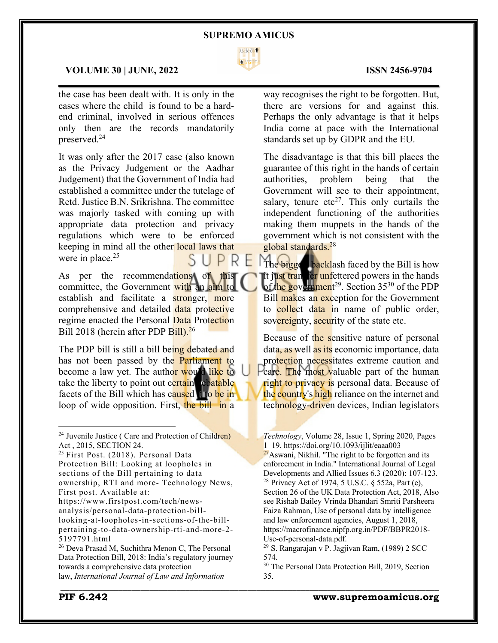

 $\mathcal{L}_\mathcal{L} = \mathcal{L}_\mathcal{L} = \mathcal{L}_\mathcal{L} = \mathcal{L}_\mathcal{L} = \mathcal{L}_\mathcal{L} = \mathcal{L}_\mathcal{L} = \mathcal{L}_\mathcal{L} = \mathcal{L}_\mathcal{L} = \mathcal{L}_\mathcal{L} = \mathcal{L}_\mathcal{L} = \mathcal{L}_\mathcal{L} = \mathcal{L}_\mathcal{L} = \mathcal{L}_\mathcal{L} = \mathcal{L}_\mathcal{L} = \mathcal{L}_\mathcal{L} = \mathcal{L}_\mathcal{L} = \mathcal{L}_\mathcal{L}$ 

# **VOLUME 30 | JUNE, 2022 ISSN 2456-9704**

the case has been dealt with. It is only in the cases where the child is found to be a hardend criminal, involved in serious offences only then are the records mandatorily preserved.24

It was only after the 2017 case (also known as the Privacy Judgement or the Aadhar Judgement) that the Government of India had established a committee under the tutelage of Retd. Justice B.N. Srikrishna. The committee was majorly tasked with coming up with appropriate data protection and privacy regulations which were to be enforced keeping in mind all the other local laws that were in place. $25$ 

As per the recommendations of this committee, the Government with an aim to establish and facilitate a stronger, more comprehensive and detailed data protective regime enacted the Personal Data Protection Bill 2018 (herein after PDP Bill).<sup>26</sup>

The PDP bill is still a bill being debated and has not been passed by the **Parliament** to become a law yet. The author would like to take the liberty to point out certain rebatable facets of the Bill which has caused it to be in loop of wide opposition. First, the bill in a

<sup>25</sup> First Post. (2018). Personal Data Protection Bill: Looking at loopholes in sections of the Bill pertaining to data ownership, RTI and more- Technology News, First post. Available at:

https://www.firstpost.com/tech/newsanalysis/personal-data-protection-billlooking-at-loopholes-in-sections-of-the-billpertaining-to-data-ownership-rti-and-more-2- 5197791.html

<sup>26</sup> Deva Prasad M, Suchithra Menon C, The Personal Data Protection Bill, 2018: India's regulatory journey towards a comprehensive data protection law, *International Journal of Law and Information*

way recognises the right to be forgotten. But, there are versions for and against this. Perhaps the only advantage is that it helps India come at pace with the International standards set up by GDPR and the EU.

The disadvantage is that this bill places the guarantee of this right in the hands of certain authorities, problem being that the Government will see to their appointment, salary, tenure  $etc^{27}$ . This only curtails the independent functioning of the authorities making them muppets in the hands of the government which is not consistent with the global standards.28

The bigges backlash faced by the Bill is how it just transfer unfettered powers in the hands of the government<sup>29</sup>. Section 35<sup>30</sup> of the PDP Bill makes an exception for the Government to collect data in name of public order, sovereignty, security of the state etc.

Because of the sensitive nature of personal data, as well as its economic importance, data protection necessitates extreme caution and Pcare. The most valuable part of the human right to privacy is personal data. Because of the country's high reliance on the internet and technology-driven devices, Indian legislators

Developments and Allied Issues 6.3 (2020): 107-123. <sup>28</sup> Privacy Act of 1974, 5 U.S.C. § 552a, Part (e),

Section 26 of the UK Data Protection Act, 2018, Also see Rishab Bailey Vrinda Bhandari Smriti Parsheera Faiza Rahman, Use of personal data by intelligence and law enforcement agencies, August 1, 2018, https://macrofinance.nipfp.org.in/PDF/BBPR2018- Use-of-personal-data.pdf.<br><sup>29</sup> S. Rangarajan v P. Jagjivan Ram, (1989) 2 SCC

574.

\_\_\_\_\_\_\_\_\_\_\_\_\_\_\_\_\_\_\_\_\_\_\_\_\_\_\_\_\_\_\_\_\_\_\_\_\_\_\_\_\_\_\_\_\_\_\_\_\_\_\_\_\_\_\_\_\_\_\_\_\_\_\_\_\_\_\_\_\_\_\_\_\_\_\_\_\_\_\_\_\_\_\_\_\_

<sup>&</sup>lt;sup>24</sup> Juvenile Justice ( Care and Protection of Children) Act , 2015, SECTION 24.

*Technology*, Volume 28, Issue 1, Spring 2020, Pages 1–19, https://doi.org/10.1093/ijlit/eaaa003  $27$ Aswani, Nikhil. "The right to be forgotten and its enforcement in India." International Journal of Legal

<sup>30</sup> The Personal Data Protection Bill, 2019, Section 35.